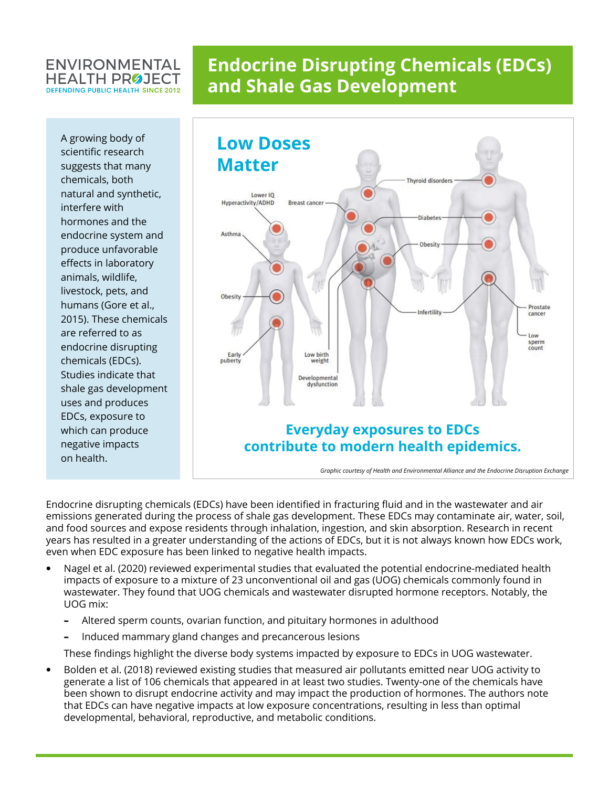## **ENVIRONMENTAL HEALTH PROJECT DEFENDING PUBLIC HEALTH SINCE 2012**

# **Endocrine Disrupting Chemicals (EDCs) and Shale Gas Development**

A growing body of scientific research suggests that many chemicals, both natural and synthetic, interfere with hormones and the endocrine system and produce unfavorable effects in laboratory animals, wildlife, livestock, pets, and humans (Gore et al., 2015). These chemicals are referred to as endocrine disrupting chemicals (EDCs). Studies indicate that shale gas development uses and produces EDCs, exposure to which can produce negative impacts on health.



*Graphic courtesy of Health and Environmental Alliance and the Endocrine Disruption Exchange*

Endocrine disrupting chemicals (EDCs) have been identified in fracturing fluid and in the wastewater and air emissions generated during the process of shale gas development. These EDCs may contaminate air, water, soil, and food sources and expose residents through inhalation, ingestion, and skin absorption. Research in recent years has resulted in a greater understanding of the actions of EDCs, but it is not always known how EDCs work, even when EDC exposure has been linked to negative health impacts.

- Nagel et al. (2020) reviewed experimental studies that evaluated the potential endocrine-mediated health impacts of exposure to a mixture of 23 unconventional oil and gas (UOG) chemicals commonly found in wastewater. They found that UOG chemicals and wastewater disrupted hormone receptors. Notably, the UOG mix:
	- **–** Altered sperm counts, ovarian function, and pituitary hormones in adulthood
	- **–** Induced mammary gland changes and precancerous lesions
	- These findings highlight the diverse body systems impacted by exposure to EDCs in UOG wastewater.
- Bolden et al. (2018) reviewed existing studies that measured air pollutants emitted near UOG activity to generate a list of 106 chemicals that appeared in at least two studies. Twenty-one of the chemicals have been shown to disrupt endocrine activity and may impact the production of hormones. The authors note that EDCs can have negative impacts at low exposure concentrations, resulting in less than optimal developmental, behavioral, reproductive, and metabolic conditions.